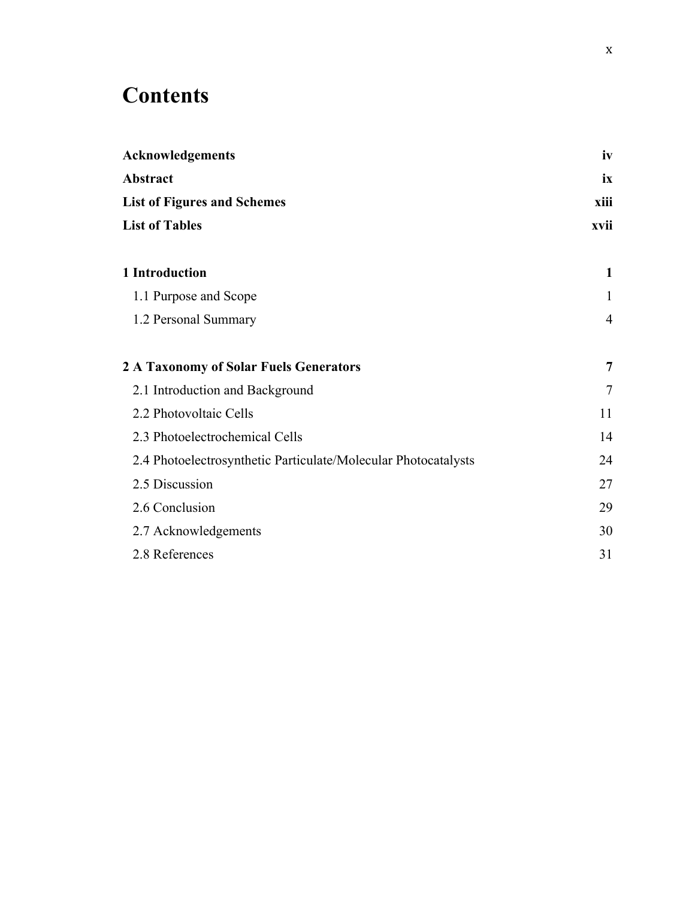## **Contents**

| <b>Acknowledgements</b>                                        | iv             |  |
|----------------------------------------------------------------|----------------|--|
| Abstract                                                       | ix             |  |
| <b>List of Figures and Schemes</b>                             | xiii           |  |
| <b>List of Tables</b>                                          | xvii           |  |
| 1 Introduction                                                 | $\mathbf{1}$   |  |
| 1.1 Purpose and Scope                                          | $\mathbf{1}$   |  |
| 1.2 Personal Summary                                           | $\overline{4}$ |  |
| 2 A Taxonomy of Solar Fuels Generators                         | 7              |  |
| 2.1 Introduction and Background                                | 7              |  |
| 2.2 Photovoltaic Cells                                         | 11             |  |
| 2.3 Photoelectrochemical Cells                                 | 14             |  |
| 2.4 Photoelectrosynthetic Particulate/Molecular Photocatalysts | 24             |  |
| 2.5 Discussion                                                 | 27             |  |
| 2.6 Conclusion                                                 | 29             |  |
| 2.7 Acknowledgements                                           | 30             |  |
| 2.8 References                                                 | 31             |  |
|                                                                |                |  |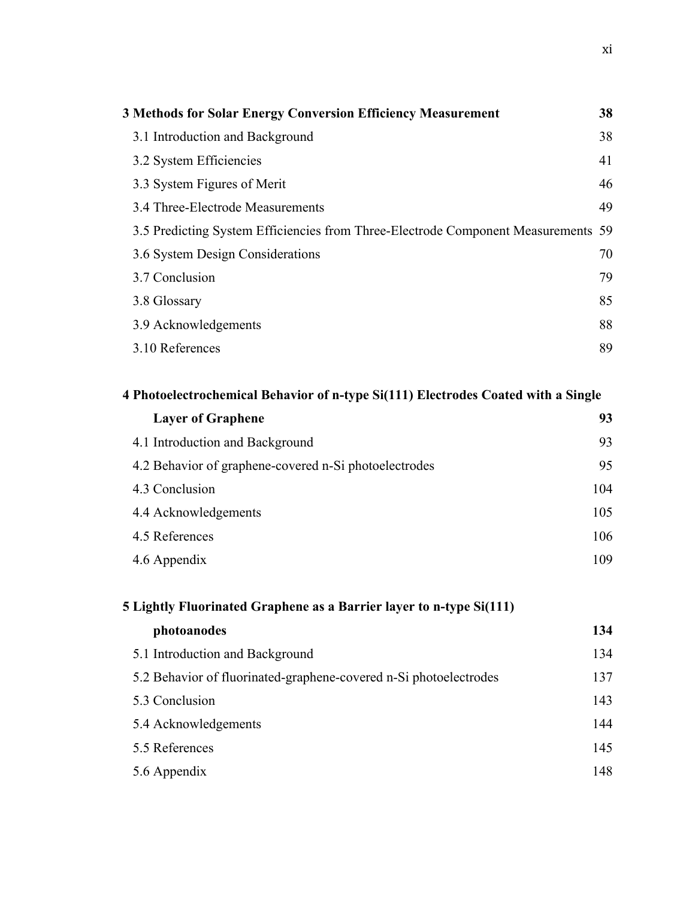| <b>3 Methods for Solar Energy Conversion Efficiency Measurement</b>               | 38 |
|-----------------------------------------------------------------------------------|----|
| 3.1 Introduction and Background                                                   | 38 |
| 3.2 System Efficiencies                                                           | 41 |
| 3.3 System Figures of Merit                                                       | 46 |
| 3.4 Three-Electrode Measurements                                                  | 49 |
| 3.5 Predicting System Efficiencies from Three-Electrode Component Measurements 59 |    |
| 3.6 System Design Considerations                                                  | 70 |
| 3.7 Conclusion                                                                    | 79 |
| 3.8 Glossary                                                                      | 85 |
| 3.9 Acknowledgements                                                              | 88 |
| 3.10 References                                                                   | 89 |

## **4 Photoelectrochemical Behavior of n-type Si(111) Electrodes Coated with a Single**

| <b>Layer of Graphene</b>                              | 93  |
|-------------------------------------------------------|-----|
| 4.1 Introduction and Background                       | 93  |
| 4.2 Behavior of graphene-covered n-Si photoelectrodes | 95  |
| 4.3 Conclusion                                        | 104 |
| 4.4 Acknowledgements                                  | 105 |
| 4.5 References                                        | 106 |
| 4.6 Appendix                                          | 109 |

| 5 Lightly Fluorinated Graphene as a Barrier layer to n-type Si(111) |     |  |
|---------------------------------------------------------------------|-----|--|
| photoanodes                                                         | 134 |  |
| 5.1 Introduction and Background                                     | 134 |  |
| 5.2 Behavior of fluorinated-graphene-covered n-Si photoelectrodes   | 137 |  |
| 5.3 Conclusion                                                      | 143 |  |
| 5.4 Acknowledgements                                                | 144 |  |
| 5.5 References                                                      | 145 |  |
| 5.6 Appendix                                                        | 148 |  |